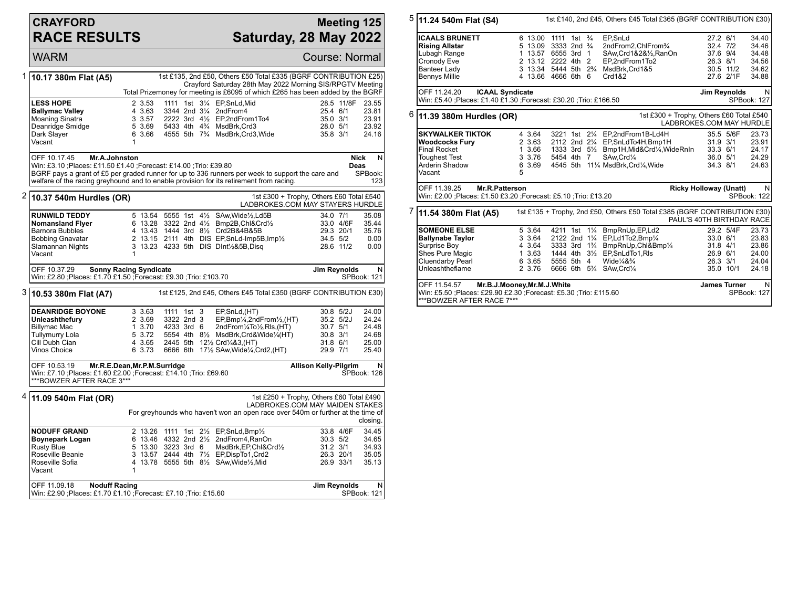## **CRAYFORD RACE RESULTS**

## **Meeting 125 Saturday, 28 May 2022**

WARM Course: Normal 1 **10.17 380m Flat (A5)** 1st £135, 2nd £50, Others £50 Total £335 (BGRF CONTRIBUTION £25) Crayford Saturday 28th May 2022 Morning SIS/RPGTV Meeting Total Prizemoney for meeting is £6095 of which £265 has been added by the BGRF **LESS HOPE** 2 3.53 1111 1st 3<sup>1</sup>/<sub>4</sub> EP, SnLd, Mid
<br> **Ballymac Valley** 23.55 2344 2nd 3<sup>1</sup>/<sub>4</sub> 2nd From 4 25.4 6/1 23.81 **Ballymac Valley** 4 3.63 3344 2nd 3<sup>1</sup>/<sub>2</sub> 2ndFrom<sup>4</sup> 25.4 6/1 23.81<br>Moaning Sinatra 3 3.57 2222 3rd 4<sup>1</sup>/<sub>2</sub> EP.2ndFrom1To4 35.0 3/1 23.91 Moaning Sinatra **3 3.57 2222 3rd 4½ EP,2ndFrom1To4** 35.0 3/1 23.91<br>Deanridge Smidge 5 3.69 5433 4th 4¼ MsdBrk,Crd3 28.0 5/1 23.92 Deanridge Smidge 5 3.69 5433 4th 4¾ MsdBrk,Crd3 28.0 5/1 23.92 4555 5th 7<sup>3</sup>/4 MsdBrk, Crd3, Wide Vacant 1 OFF 10.17.45 **Mr.A.Johnston** Win: £3.10 ;Places: £11.50 £1.40 ;Forecast: £14.00 ;Trio: £39.80 BGRF pays a grant of £5 per graded runner for up to 336 runners per week to support the care and welfare of the racing greyhound and to enable provision for its retirement from racing. **Nick Deas** N SPBook: 123 2 **10.37 540m Hurdles (OR)** 1st £300 + Trophy, Others £60 Total £540 LADBROKES.COM MAY STAYERS HURDLE **RUNWILD TEDDY** 5 13.54 5555 1st 4<sup>1</sup>/<sub>2</sub> SAw, Wide<sup>1</sup>/<sub>2</sub>, Ld5B 34.0 7/1 35.08<br> **Nomansland Fiver** 6 13.28 3322 2nd 4<sup>1</sup>/<sub>2</sub> Bmo2B.Chl&Crd<sup>1</sup>/<sub>2</sub> 33.0 4/6F 35.44 **Nomansland Flyer** 6 13.28 3322 2nd 4½ Bmp2B,Chl&Crd½ 33.0 4/6F 35.44<br>Barnora Bubbles 4 13.43 1444 3rd 8½ Crd2B&4B&5B 29.3 20/1 35.76 Barnora Bubbles 4 13.43 1444 3rd 8½ Crd2B&4B&5B 29.3 20/1 35.76 Bobbing Gnavatar 2 13.15 2111 4th DIS EP,SnLd-Imp5B,Imp½ 34.5 5/2 0.00 3 13.23 4233 5th DIS DInt½&5B,Disq Vacant OFF 10.37.29 **Sonny Racing Syndicate** Win: £2.80 ;Places: £1.70 £1.50 ;Forecast: £9.30 ;Trio: £103.70 **Jim Reynolds** N SPBook: 121 3 **10.53 380m Flat (A7)** 1st £125, 2nd £45, Others £45 Total £350 (BGRF CONTRIBUTION £30) **DEANRIDGE BOYONE** 3 3.63 1111 1st 3 EP,SnLd,(HT) 30.8 5/2J 24.00<br> **Unleashthefury** 2 3.69 3322 2nd 3 EP,Bmp¼,2ndFrom½,(HT) 35.2 5/2J 24.24 **Unleashthefury** 2 3.69 3322 2nd 3 EP,Bmp¼,2ndFrom½,(HT) 35.2 5/2J 24.24 Billymac Mac 1 3.70 4233 3rd 6 2ndFrom¼To½,Rls,(HT) 30.7 5/1 24.48 Tullymurry Lola 5 3.72 5554 4th 8½ MsdBrk,Crd&Wide¼(HT) 30.8 3/1 24.68 Cill Dubh Cian 4 3.65 2445 5th 12½ Crd¼&3,(HT) 31.8 6/1 25.00 6 3.73 6666 6th  $17\frac{1}{2}$  SAw, Wide  $\frac{1}{4}$ , Crd2, (HT) OFF 10.53.19 **Mr.R.E.Dean,Mr.P.M.Surridge** Win: £7.10 ;Places: £1.60 £2.00 ;Forecast: £14.10 ;Trio: £69.60 \*\*\*BOWZER AFTER RACE 3\*\*\* **Allison Kelly-Pilgrim** N SPBook: 126 4 **11.09 540m Flat (OR)** 1st £250 + Trophy, Others £60 Total £490 LADBROKES.COM MAY MAIDEN STAKES For greyhounds who haven't won an open race over 540m or further at the time of closing. **NODUFF GRAND** 2 13.26 1111 1st 2½ EP,SnLd,Bmp½ 33.8 4/6F 34.45<br> **Boynepark Logan** 6 13.46 4332 2nd 2½ 2ndFrom4,RanOn 30.3 5/2 34.65 **Boynepark Logan** 6 13.46 4332 2nd 2<sup>1</sup>/<sub>2</sub> 2ndFrom4,RanOn 30.3 5/2 34.65<br>Rusty Blue 5 13.30 3223 3rd 6 MsdBrk,EP,Chl&Crd<sup>1</sup>/<sub>2</sub> 31.2 3/1 34.93 Rusty Blue 5 13.30 3223 3rd 6 MsdBrk,EP,Chl&Crd½ 31.2 3/1 34.93 Roseville Beanie 3 13.57 2444 4th 7½ EP,DispTo1,Crd2 26.3 20/1 35.05 4 13.78 5555 5th 81/2 SAw, Wide1/2, Mid Vacant 1 OFF 11.09.18 **Noduff Racing** Win: £2.90 ;Places: £1.70 £1.10 ;Forecast: £7.10 ;Trio: £15.60 **Jim Reynolds** N SPBook: 121

| $5$ 11.24 540m Flat (S4)                                                                                                                            | 1st £140, 2nd £45, Others £45 Total £365 (BGRF CONTRIBUTION £30) |                                                |                                                                                     |           |                           |  |
|-----------------------------------------------------------------------------------------------------------------------------------------------------|------------------------------------------------------------------|------------------------------------------------|-------------------------------------------------------------------------------------|-----------|---------------------------|--|
| <b>ICAALS BRUNETT</b>                                                                                                                               |                                                                  | 6 13.00 1111 1st 3/4                           | EP.SnLd                                                                             | 27.2 6/1  | 34.40                     |  |
| <b>Rising Allstar</b>                                                                                                                               |                                                                  | 5 13.09 3333 2nd 3/4                           | 2ndFrom2, ChlFrom3/4                                                                | 32.4 7/2  | 34.46                     |  |
| Lubagh Range                                                                                                                                        |                                                                  | 1 13.57 6555 3rd<br>$\overline{1}$             | SAw,Crd1&2&1/2,RanOn                                                                | 37.6 9/4  | 34.48                     |  |
| Cronody Eve                                                                                                                                         |                                                                  | 2 13.12 2222 4th 2                             | EP,2ndFrom1To2                                                                      | 26.3 8/1  | 34.56                     |  |
| <b>Banteer Lady</b>                                                                                                                                 |                                                                  | 3 13.34 5444 5th 2 <sup>3</sup> / <sub>4</sub> | MsdBrk, Crd1&5                                                                      | 30.5 11/2 | 34.62                     |  |
| <b>Bennys Millie</b>                                                                                                                                | 4 13.66                                                          | 4666 6th 6                                     | Crd1&2                                                                              | 27.6 2/1F | 34.88                     |  |
| OFF 11.24.20<br><b>ICAAL Syndicate</b><br>Jim Reynolds                                                                                              |                                                                  |                                                |                                                                                     |           |                           |  |
| Win: £5.40 :Places: £1.40 £1.30 :Forecast: £30.20 :Trio: £166.50<br>SPBook: 127                                                                     |                                                                  |                                                |                                                                                     |           |                           |  |
| $6$ 11.39 380m Hurdles (OR)<br>1st £300 + Trophy, Others £60 Total £540<br>LADBROKES.COM MAY HURDLE                                                 |                                                                  |                                                |                                                                                     |           |                           |  |
| <b>SKYWALKER TIKTOK</b>                                                                                                                             | 4 3.64                                                           |                                                | 3221 1st 21/4 EP, 2nd From 1B-Ld4H                                                  | 35.5 5/6F | 23.73                     |  |
| <b>Woodcocks Fury</b>                                                                                                                               | 2 3.63                                                           |                                                | 2112 2nd 21/4 EP, SnLdTo4H, Bmp1H                                                   | 31.9 3/1  | 23.91                     |  |
| <b>Final Rocket</b>                                                                                                                                 | 1 3.66                                                           |                                                | 1333 3rd 51/ <sub>2</sub> Bmp1H, Mid& Crd1/ <sub>4</sub> , Wide RnIn                | 33.3 6/1  | 24.17                     |  |
| <b>Toughest Test</b>                                                                                                                                | 3 3.76                                                           | 5454 4th 7                                     | SAw, Crd1/4                                                                         | 36.0 5/1  | 24.29                     |  |
| Arderin Shadow                                                                                                                                      | 6 3.69                                                           |                                                | 4545 5th 111/4 MsdBrk, Crd1/4, Wide                                                 | 34.3 8/1  | 24.63                     |  |
| Vacant                                                                                                                                              | 5                                                                |                                                |                                                                                     |           |                           |  |
| OFF 11.39.25<br>Mr.R.Patterson<br><b>Ricky Holloway (Unatt)</b><br>Win: £2.00 ; Places: £1.50 £3.20 ; Forecast: £5.10 ; Trio: £13.20<br>SPBook: 122 |                                                                  |                                                |                                                                                     |           |                           |  |
| 11.54 380m Flat (A5)                                                                                                                                |                                                                  |                                                | 1st £135 + Trophy, 2nd £50, Others £50 Total £385 (BGRF CONTRIBUTION £30)           |           | PAUL'S 40TH BIRTHDAY RACE |  |
| <b>SOMEONE ELSE</b>                                                                                                                                 | 5 3.64                                                           |                                                | 4211 1st 11/4 BmpRnUp, EP, Ld2                                                      | 29.2 5/4F | 23.73                     |  |
| <b>Ballynabe Taylor</b>                                                                                                                             | 3 3.64                                                           |                                                | 2122 2nd 11/4 EP,Ld1To2,Bmp1/4                                                      | 33.0 6/1  | 23.83                     |  |
| Surprise Boy                                                                                                                                        | 4 3.64                                                           |                                                | 3333 3rd 1 <sup>3</sup> / <sub>4</sub> BmpRnUp, Chl&Bmp <sup>1</sup> / <sub>4</sub> | 31.8 4/1  | 23.86                     |  |
| Shes Pure Magic                                                                                                                                     | 13.63                                                            |                                                | 1444 4th 31/2 EP, SnLdTo1, RIs                                                      | 26.9 6/1  | 24.00                     |  |
| Cluendarby Pearl                                                                                                                                    | 6 3.65                                                           | 5555 5th 4                                     | Wide $\frac{1}{4}$ & $\frac{3}{4}$                                                  | 26.3 3/1  | 24.04                     |  |
| Unleashtheflame                                                                                                                                     | 2 3.76                                                           | 6666 6th 5 <sup>3</sup> / <sub>4</sub>         | SAw, Crd <sup>1</sup> / <sub>4</sub>                                                | 35.0 10/1 | 24.18                     |  |
| OFF 11.54.57<br>Mr.B.J.Mooney, Mr.M.J. White<br>Win: £5.50 ;Places: £29.90 £2.30 ;Forecast: £5.30 ;Trio: £115.60<br>***BOWZER AFTER RACE 7***       | <b>James Turner</b>                                              | N.<br>SPBook: 127                              |                                                                                     |           |                           |  |